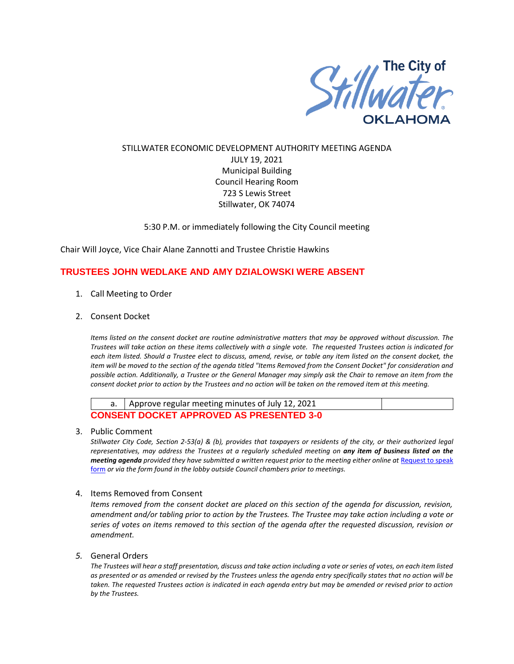

## STILLWATER ECONOMIC DEVELOPMENT AUTHORITY MEETING AGENDA JULY 19, 2021 Municipal Building Council Hearing Room 723 S Lewis Street Stillwater, OK 74074

## 5:30 P.M. or immediately following the City Council meeting

Chair Will Joyce, Vice Chair Alane Zannotti and Trustee Christie Hawkins

## **TRUSTEES JOHN WEDLAKE AND AMY DZIALOWSKI WERE ABSENT**

- 1. Call Meeting to Order
- 2. Consent Docket

*Items listed on the consent docket are routine administrative matters that may be approved without discussion. The Trustees will take action on these items collectively with a single vote. The requested Trustees action is indicated for each item listed. Should a Trustee elect to discuss, amend, revise, or table any item listed on the consent docket, the item will be moved to the section of the agenda titled "Items Removed from the Consent Docket" for consideration and possible action. Additionally, a Trustee or the General Manager may simply ask the Chair to remove an item from the consent docket prior to action by the Trustees and no action will be taken on the removed item at this meeting.*

|                                                 | a.   Approve regular meeting minutes of July 12, 2021 |  |  |  |
|-------------------------------------------------|-------------------------------------------------------|--|--|--|
| <b>CONSENT DOCKET APPROVED AS PRESENTED 3-0</b> |                                                       |  |  |  |

3. Public Comment

*Stillwater City Code, Section 2-53(a) & (b), provides that taxpayers or residents of the city, or their authorized legal representatives, may address the Trustees at a regularly scheduled meeting on any item of business listed on the meeting agenda provided they have submitted a written request prior to the meeting either online at Request to speak* [form](http://stillwater.org/page/home/government/mayor-city-council/meetings-agendas-minutes/online-request-to-speak-at-city-council) *or via the form found in the lobby outside Council chambers prior to meetings.*

4. Items Removed from Consent

*Items removed from the consent docket are placed on this section of the agenda for discussion, revision, amendment and/or tabling prior to action by the Trustees. The Trustee may take action including a vote or series of votes on items removed to this section of the agenda after the requested discussion, revision or amendment.*

*5.* General Orders

*The Trustees will hear a staff presentation, discuss and take action including a vote or series of votes, on each item listed as presented or as amended or revised by the Trustees unless the agenda entry specifically states that no action will be taken. The requested Trustees action is indicated in each agenda entry but may be amended or revised prior to action by the Trustees.*